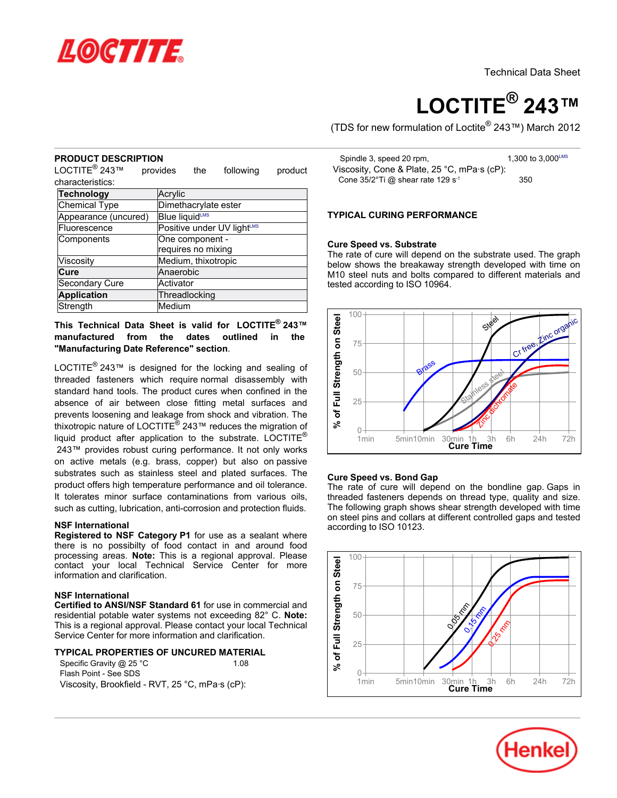

# **LOCTITE® 243™**

(TDS for new formulation of Loctite® 243™) March 2012

# **PRODUCT DESCRIPTION**

LOCTITE<sup>®</sup> 243™ provides the following product characteristics:

| Technology           | Acrylic                    |
|----------------------|----------------------------|
| <b>Chemical Type</b> | Dimethacrylate ester       |
| Appearance (uncured) | <b>Blue liquidLMS</b>      |
| Fluorescence         | Positive under UV lightLMS |
| Components           | One component -            |
|                      | requires no mixing         |
| Viscosity            | Medium, thixotropic        |
| Cure                 | Anaerobic                  |
| Secondary Cure       | Activator                  |
| <b>Application</b>   | Threadlocking              |
| Strength             | Medium                     |

**This Technical Data Sheet is valid for LOCTITE® 243™ manufactured from the dates outlined in the "Manufacturing Date Reference" section**.

LOCTITE<sup>®</sup> 243™ is designed for the locking and sealing of threaded fasteners which require normal disassembly with standard hand tools. The product cures when confined in the absence of air between close fitting metal surfaces and prevents loosening and leakage from shock and vibration. The thixotropic nature of LOCTITE® 243™ reduces the migration of liquid product after application to the substrate. LOCTITE<sup>®</sup> 243™ provides robust curing performance. It not only works on active metals (e.g. brass, copper) but also on passive substrates such as stainless steel and plated surfaces. The product offers high temperature performance and oil tolerance. It tolerates minor surface contaminations from various oils, such as cutting, lubrication, anti-corrosion and protection fluids.

#### **NSF International**

**Registered to NSF Category P1** for use as a sealant where there is no possibilty of food contact in and around food processing areas. **Note:** This is a regional approval. Please contact your local Technical Service Center for more information and clarification.

#### **NSF International**

**Certified to ANSI/NSF Standard 61** for use in commercial and residential potable water systems not exceeding 82° C. **Note:** This is a regional approval. Please contact your local Technical Service Center for more information and clarification.

#### **TYPICAL PROPERTIES OF UNCURED MATERIAL**

Specific Gravity @ 25 °C 1.08 Flash Point - See SDS Viscosity, Brookfield - RVT, 25 °C, mPa·s (cP):

| Spindle 3, speed 20 rpm,                         | 1.300 to 3.000 <sup>LMS</sup> |
|--------------------------------------------------|-------------------------------|
| Viscosity, Cone & Plate, 25 °C, mPa·s (cP):      |                               |
| Cone $35/2$ °Ti @ shear rate 129 s <sup>-1</sup> | 350                           |

# **TYPICAL CURING PERFORMANCE**

#### **Cure Speed vs. Substrate**

The rate of cure will depend on the substrate used. The graph below shows the breakaway strength developed with time on M10 steel nuts and bolts compared to different materials and tested according to ISO 10964.



#### **Cure Speed vs. Bond Gap**

The rate of cure will depend on the bondline gap. Gaps in threaded fasteners depends on thread type, quality and size. The following graph shows shear strength developed with time on steel pins and collars at different controlled gaps and tested according to ISO 10123.



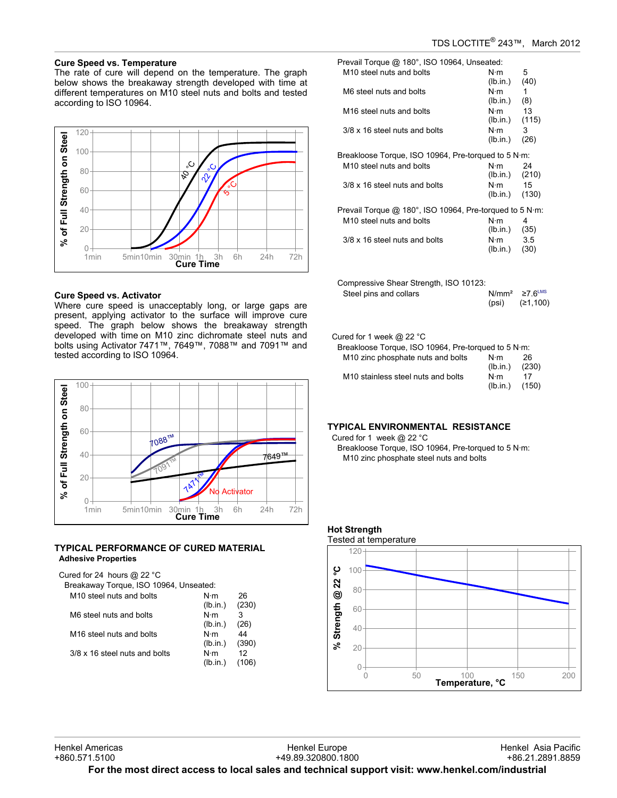$(lb.in.)$ 

# **Cure Speed vs. Temperature**

The rate of cure will depend on the temperature. The graph below shows the breakaway strength developed with time at different temperatures on M10 steel nuts and bolts and tested according to ISO 10964.



# **Cure Speed vs. Activator**

Where cure speed is unacceptably long, or large gaps are present, applying activator to the surface will improve cure speed. The graph below shows the breakaway strength developed with time on M10 zinc dichromate steel nuts and bolts using Activator 7471™, 7649™, 7088™ and 7091™ and tested according to ISO 10964.



# **TYPICAL PERFORMANCE OF CURED MATERIAL Adhesive Properties**

| Cured for 24 hours @ 22 °C<br>Breakaway Torque, ISO 10964, Unseated: |                         |             |
|----------------------------------------------------------------------|-------------------------|-------------|
| M <sub>10</sub> steel nuts and bolts                                 | N⋅m<br>(lb.in.)         | 26<br>(230) |
| M6 steel nuts and bolts                                              | $N \cdot m$<br>(lb.in.) | 3<br>(26)   |
| M <sub>16</sub> steel nuts and bolts                                 | $N \cdot m$<br>(lb.in.) | 44<br>(390) |
| 3/8 x 16 steel nuts and bolts                                        | N·m<br>(lb.in.)         | 12          |

Prevail Torque @ 180°, ISO 10964, Unseated: M10 steel nuts and bolts N·m 5<br>(10.in.) (40)  $(lb.in.)$ M6 steel nuts and bolts N·m 1<br>(b.in.) (8)  $(lb.in.)$ M16 steel nuts and bolts N·m 13 (lb.in.) (115) 3/8 x 16 steel nuts and bolts N·m 3 (lb.in.) (26) Breakloose Torque, ISO 10964, Pre-torqued to 5 N·m: M10 steel nuts and bolts N·m 24<br>(10.in.) (210)  $(Ib.in.)$  $3/8 \times 16$  steel nuts and bolts  $N \cdot m$  15<br>(130) (130)

| Prevail Torque @ 180°, ISO 10964, Pre-torqued to 5 N·m: |          |      |
|---------------------------------------------------------|----------|------|
| M <sub>10</sub> steel nuts and bolts                    | N⋅m      | 4    |
|                                                         | (lb.in.) | (35) |
| 3/8 x 16 steel nuts and bolts                           | N∙m      | 35   |
|                                                         | (lb.in.) | (30) |

| Compressive Shear Strength, ISO 10123: |       |                                  |
|----------------------------------------|-------|----------------------------------|
| Steel pins and collars                 |       | $N/mm^2 \geq 7$ 6 <sup>LMS</sup> |
|                                        | (psi) | (≥1,100)                         |

#### Cured for 1 week @ 22 °C

| Breakloose Torque, ISO 10964, Pre-torqued to 5 N·m: |                         |             |
|-----------------------------------------------------|-------------------------|-------------|
| M <sub>10</sub> zinc phosphate nuts and bolts       | $N \cdot m$<br>(lb.in.) | 26<br>(230) |
| M <sub>10</sub> stainless steel nuts and bolts      | $N \cdot m$<br>(lb.in.) | 17<br>(150) |

# **TYPICAL ENVIRONMENTAL RESISTANCE**

Cured for 1 week @ 22 °C

Breakloose Torque, ISO 10964, Pre-torqued to 5 N·m: M10 zinc phosphate steel nuts and bolts



Henkel Europe +49.89.320800.1800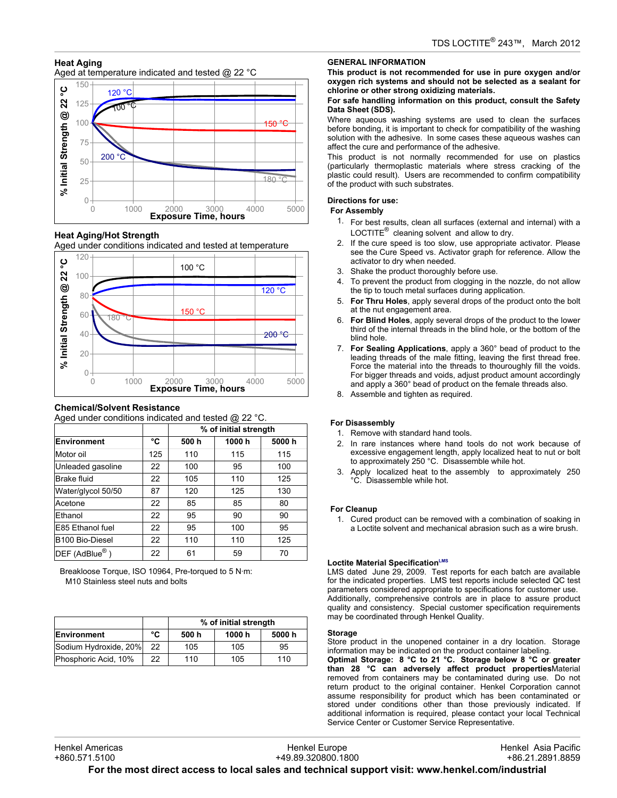# **Heat Aging**

Aged at temperature indicated and tested @ 22 °C



**Heat Aging/Hot Strength**

Aged under conditions indicated and tested at temperature



# **Chemical/Solvent Resistance**

Aged under conditions indicated and tested @ 22 °C.

|                              |     |      | % of initial strength |        |
|------------------------------|-----|------|-----------------------|--------|
| Environment                  | °C  | 500h | 1000h                 | 5000 h |
| Motor oil                    | 125 | 110  | 115                   | 115    |
| Unleaded gasoline            | 22  | 100  | 95                    | 100    |
| <b>Brake fluid</b>           | 22  | 105  | 110                   | 125    |
| Water/glycol 50/50           | 87  | 120  | 125                   | 130    |
| Acetone                      | 22  | 85   | 85                    | 80     |
| Ethanol                      | 22  | 95   | 90                    | 90     |
| E85 Ethanol fuel             | 22  | 95   | 100                   | 95     |
| B <sub>100</sub> Bio-Diesel  | 22  | 110  | 110                   | 125    |
| $DEF$ (AdBlue <sup>®</sup> ) | 22  | 61   | 59                    | 70     |

Breakloose Torque, ISO 10964, Pre-torqued to 5 N·m: M10 Stainless steel nuts and bolts

|                       |    | % of initial strength |        |       |
|-----------------------|----|-----------------------|--------|-------|
| Environment           | °C | 500 h                 | 1000 h | 5000h |
| Sodium Hydroxide, 20% | 22 | 105                   | 105    | 95    |
| Phosphoric Acid, 10%  | 22 | 110                   | 105    | 110   |

# **GENERAL INFORMATION**

**This product is not recommended for use in pure oxygen and/or oxygen rich systems and should not be selected as a sealant for chlorine or other strong oxidizing materials.**

#### **For safe handling information on this product, consult the Safety Data Sheet (SDS).**

Where aqueous washing systems are used to clean the surfaces before bonding, it is important to check for compatibility of the washing solution with the adhesive. In some cases these aqueous washes can affect the cure and performance of the adhesive.

This product is not normally recommended for use on plastics (particularly thermoplastic materials where stress cracking of the plastic could result). Users are recommended to confirm compatibility of the product with such substrates.

# **Directions for use:**

# **For Assembly**

- 1. For best results, clean all surfaces (external and internal) with a LOCTITE $^{\circledR}$  cleaning solvent and allow to dry.
- 2. If the cure speed is too slow, use appropriate activator. Please see the Cure Speed vs. Activator graph for reference. Allow the activator to dry when needed.
- 3. Shake the product thoroughly before use.
- 4. To prevent the product from clogging in the nozzle, do not allow the tip to touch metal surfaces during application.
- 5. **For Thru Holes**, apply several drops of the product onto the bolt at the nut engagement area.
- 6. **For Blind Holes**, apply several drops of the product to the lower third of the internal threads in the blind hole, or the bottom of the blind hole.
- 7. **For Sealing Applications**, apply a 360° bead of product to the leading threads of the male fitting, leaving the first thread free. Force the material into the threads to thouroughly fill the voids. For bigger threads and voids, adjust product amount accordingly and apply a 360° bead of product on the female threads also.
- 8. Assemble and tighten as required.

# **For Disassembly**

- 1. Remove with standard hand tools.
- 2. In rare instances where hand tools do not work because of excessive engagement length, apply localized heat to nut or bolt to approximately 250 °C. Disassemble while hot.
- 3. Apply localized heat to the assembly to approximately 250 °C. Disassemble while hot.

# **For Cleanup**

1. Cured product can be removed with a combination of soaking in a Loctite solvent and mechanical abrasion such as a wire brush.

#### **Loctite Material SpecificationLMS**

LMS dated June 29, 2009. Test reports for each batch are available for the indicated properties. LMS test reports include selected QC test parameters considered appropriate to specifications for customer use. Additionally, comprehensive controls are in place to assure product quality and consistency. Special customer specification requirements may be coordinated through Henkel Quality.

#### **Storage**

Store product in the unopened container in a dry location. Storage information may be indicated on the product container labeling.

**Optimal Storage: 8 °C to 21 °C. Storage below 8 °C or greater than 28 °C can adversely affect product properties**Material removed from containers may be contaminated during use. Do not return product to the original container. Henkel Corporation cannot assume responsibility for product which has been contaminated or stored under conditions other than those previously indicated. If additional information is required, please contact your local Technical Service Center or Customer Service Representative.